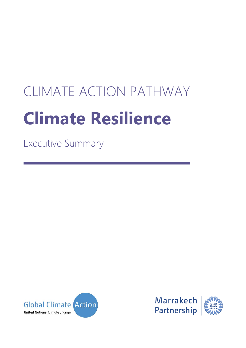# CLIMATE ACTION PATHWAY **Climate Resilience**

Executive Summary



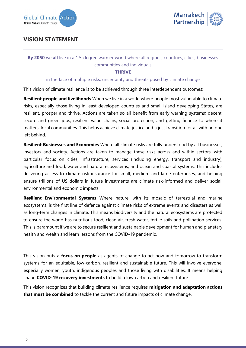



## **VISION STATEMENT**

## **By 2050** we **all** live in a 1.5-degree warmer world where all regions, countries, cities, businesses communities and individuals

## **THRIVE**

### in the face of multiple risks, uncertainty and threats posed by climate change

This vision of climate resilience is to be achieved through three interdependent outcomes:

**Resilient people and livelihoods** When we live in a world where people most vulnerable to climate risks, especially those living in least developed countries and small island developing States, are resilient, prosper and thrive. Actions are taken so all benefit from early warning systems; decent, secure and green jobs; resilient value chains; social protection; and getting finance to where it matters: local communities. This helps achieve climate justice and a just transition for all with no one left behind.

**Resilient Businesses and Economies** Where all climate risks are fully understood by all businesses, investors and society. Actions are taken to manage these risks across and within sectors, with particular focus on cities, infrastructure, services (including energy, transport and industry), agriculture and food, water and natural ecosystems, and ocean and coastal systems. This includes delivering access to climate risk insurance for small, medium and large enterprises, and helping ensure trillions of US dollars in future investments are climate risk-informed and deliver social, environmental and economic impacts.

**Resilient Environmental Systems** Where nature, with its mosaic of terrestrial and marine ecosystems, is the first line of defence against climate risks of extreme events and disasters as well as long-term changes in climate. This means biodiversity and the natural ecosystems are protected to ensure the world has nutritious food, clean air, fresh water, fertile soils and pollination services. This is paramount if we are to secure resilient and sustainable development for human and planetary health and wealth and learn lessons from the COVID-19 pandemic.

This vision puts a **focus on people** as agents of change to act now and tomorrow to transform systems for an equitable, low-carbon, resilient and sustainable future. This will involve everyone, especially women, youth, indigenous peoples and those living with disabilities. It means helping shape **COVID-19 recovery investments** to build a low-carbon and resilient future.

This vision recognizes that building climate resilience requires **mitigation and adaptation actions that must be combined** to tackle the current and future impacts of climate change.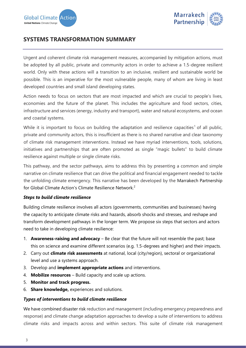

## **SYSTEMS TRANSFORMATION SUMMARY**

Urgent and coherent climate risk management measures, accompanied by mitigation actions, must be adopted by all public, private and community actors in order to achieve a 1.5-degree resilient world. Only with these actions will a transition to an inclusive, resilient and sustainable world be possible. This is an imperative for the most vulnerable people, many of whom are living in least developed countries and small island developing states.

Action needs to focus on sectors that are most impacted and which are crucial to people's lives, economies and the future of the planet. This includes the agriculture and food sectors, cities, infrastructure and services (energy, industry and transport), water and natural ecosystems, and ocean and coastal systems.

While it is important to focus on building the adaptation and resilience capacities<sup>1</sup> of all public, private and community actors, this is insufficient as there is no shared narrative and clear taxonomy of climate risk management interventions. Instead we have myriad interventions, tools, solutions, initiatives and partnerships that are often promoted as single "magic bullets" to build climate resilience against multiple or single climate risks.

This pathway, and the sector pathways, aims to address this by presenting a common and simple narrative on climate resilience that can drive the political and financial engagement needed to tackle the unfolding climate emergency. This narrative has been developed by the Marrakech Partnership for Global Climate Action's Climate Resilience Network.<sup>2</sup>

## *Steps to build climate resilience*

Building climate resilience involves all actors (governments, communities and businesses) having the capacity to anticipate climate risks and hazards, absorb shocks and stresses, and reshape and transform development pathways in the longer term. We propose six steps that sectors and actors need to take in developing climate resilience:

- 1. **Awareness-raising and advocacy** Be clear that the future will not resemble the past; base this on science and examine different scenarios (e.g. 1.5-degrees and higher) and their impacts.
- 2. Carry out **climate risk assessments** at national, local (city/region), sectoral or organizational level and use a systems approach.
- 3. Develop and **implement appropriate actions** and interventions.
- 4. **Mobilize resources** Build capacity and scale up actions.
- 5. **Monitor and track progress.**
- 6. **Share knowledge,** experiences and solutions.

## *Types of interventions to build climate resilience*

We have combined disaster risk reduction and management (including emergency preparedness and response) and climate change adaptation approaches to develop a suite of interventions to address climate risks and impacts across and within sectors. This suite of climate risk management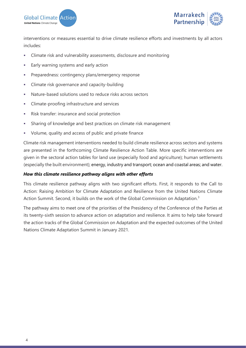



interventions or measures essential to drive climate resilience efforts and investments by all actors includes:

- **EXEDENT** Climate risk and vulnerability assessments, disclosure and monitoring
- **Early warning systems and early action**
- **•** Preparedness: contingency plans/emergency response
- **EXECUTE:** Climate risk governance and capacity-building
- Nature-based solutions used to reduce risks across sectors
- **EXECUTE:** Climate-proofing infrastructure and services
- **EXECT:** Risk transfer: insurance and social protection
- **EXEDER** Sharing of knowledge and best practices on climate risk management
- Volume, quality and access of public and private finance

Climate risk management interventions needed to build climate resilience across sectors and systems are presented in the forthcoming Climate Resilience Action Table. More specific interventions are given in the sectoral action tables for land use (especially food and agriculture); human settlements (especially the built environment); energy, industry and transport; ocean and coastal areas; and water.

## *How this climate resilience pathway aligns with other efforts*

This climate resilience pathway aligns with two significant efforts. First, it responds to the Call to Action: Raising Ambition for Climate Adaptation and Resilience from the United Nations Climate Action Summit. Second, it builds on the work of the Global Commission on Adaptation.<sup>3</sup>

The pathway aims to meet one of the priorities of the Presidency of the Conference of the Parties at its twenty-sixth session to advance action on adaptation and resilience. It aims to help take forward the action tracks of the Global Commission on Adaptation and the expected outcomes of the United Nations Climate Adaptation Summit in January 2021.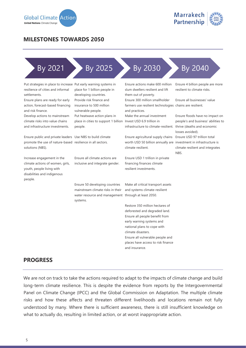

## **MILESTONES TOWARDS 2050**

## By 2021 By 2025 By 2030 By 2040

Put strategies in place to increase Put early warning systems in resilience of cities and informal settlements.

Ensure plans are ready for early action, forecast-based financing and risk finance.

Develop actions to mainstream climate risks into value chains and infrastructure investments.

Ensure public and private leaders Use NBS to build climate promote the use of nature-based resilience in all sectors. solutions (NBS).

Increase engagement in the climate actions of women, girls, youth, people living with disabilities and indigenous people.

place for 1 billion people in developing countries. Provide risk finance and insurance to 500 million vulnerable people. Put heatwave action plans in place in cities to support 1 billion people.

Ensure all climate actions are inclusive and integrate gender.

Ensure 50 developing countries mainstream climate risks in their water resource and management systems.

Ensure actions make 600 million slum dwellers resilient and lift them out of poverty.

Ensure 300 million smallholder farmers use resilient technologies chains are resilient. and practices.

Make the annual investment Invest USD 6.9 trillion in infrastructure to climate-resilient. thrive (deaths and economic

Ensure agricultural supply chains worth USD 50 billion annually are investment in infrastructure is climate resilient.

Ensure USD 1 trillion in private financing finances climate resilient investments.

Make all critical transport assets and systems climate-resilient through at least 2050.

Restore 350 million hectares of deforested and degraded land. Ensure all people benefit from early warning systems and national plans to cope with climate disasters. Ensure all vulnerable people and places have access to risk finance and insurance.

Ensure 4 billion people are more resilient to climate risks.

Ensure all businesses' value

Ensure floods have no impact on people's and business' abilities to losses avoided). Ensure USD 97 trillion total climate resilient and integrates NBS.

## **PROGRESS**

We are not on track to take the actions required to adapt to the impacts of climate change and build long-term climate resilience. This is despite the evidence from reports by the Intergovernmental Panel on Climate Change (IPCC) and the Global Commission on Adaptation. The multiple climate risks and how these affects and threaten different livelihoods and locations remain not fully understood by many. Where there is sufficient awareness, there is still insufficient knowledge on what to actually do, resulting in limited action, or at worst inappropriate action.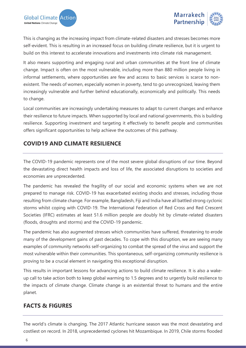

This is changing as the increasing impact from climate-related disasters and stresses becomes more self-evident. This is resulting in an increased focus on building climate resilience, but it is urgent to build on this interest to accelerate innovations and investments into climate risk management.

It also means supporting and engaging rural and urban communities at the front line of climate change. Impact is often on the most vulnerable, including more than 880 million people living in informal settlements, where opportunities are few and access to basic services is scarce to nonexistent. The needs of women, especially women in poverty, tend to go unrecognized, leaving them increasingly vulnerable and further behind educationally, economically and politically. This needs to change.

Local communities are increasingly undertaking measures to adapt to current changes and enhance their resilience to future impacts. When supported by local and national governments, this is building resilience. Supporting investment and targeting it effectively to benefit people and communities offers significant opportunities to help achieve the outcomes of this pathway.

## **COVID19 AND CLIMATE RESILIENCE**

The COVID-19 pandemic represents one of the most severe global disruptions of our time. Beyond the devastating direct health impacts and loss of life, the associated disruptions to societies and economies are unprecedented.

The pandemic has revealed the fragility of our social and economic systems when we are not prepared to manage risk. COVID-19 has exacerbated existing shocks and stresses, including those resulting from climate change. For example, Bangladesh, Fiji and India have all battled strong cyclonic storms whilst coping with COVID-19. The International Federation of Red Cross and Red Crescent Societies (IFRC) estimates at least 51.6 million people are doubly hit by climate-related disasters (floods, droughts and storms) and the COVID-19 pandemic.

The pandemic has also augmented stresses which communities have suffered, threatening to erode many of the development gains of past decades. To cope with this disruption, we are seeing many examples of community networks self-organizing to combat the spread of the virus and support the most vulnerable within their communities. This spontaneous, self-organizing community resilience is proving to be a crucial element in navigating this exceptional disruption.

This results in important lessons for advancing actions to build climate resilience. It is also a wakeup call to take action both to keep global warming to 1.5 degrees and to urgently build resilience to the impacts of climate change. Climate change is an existential threat to humans and the entire planet.

## **FACTS & FIGURES**

The world's climate is changing. The 2017 Atlantic hurricane season was the most devastating and costliest on record. In 2018, unprecedented cyclones hit Mozambique. In 2019, Chile storms flooded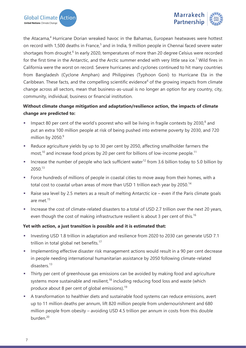



the Atacama,<sup>4</sup> Hurricane Dorian wreaked havoc in the Bahamas, European heatwaves were hottest on record with 1,500 deaths in France,<sup>5</sup> and in India, 9 million people in Chennai faced severe water shortages from drought.<sup>6</sup> In early 2020, temperatures of more than 20 degree Celsius were recorded for the first time in the Antarctic, and the Arctic summer ended with very little sea ice.<sup>7</sup> Wild fires in California were the worst on record. Severe hurricanes and cyclones continued to hit many countries from Bangladesh (Cyclone Amphan) and Philippines (Typhoon Goni) to Hurricane Eta in the Caribbean. These facts, and the compelling scientific evidence<sup>6</sup> of the growing impacts from climate change across all sectors, mean that business-as-usual is no longer an option for any country, city, community, individual, business or financial institution.

## **Without climate change mitigation and adaptation/resilience action, the impacts of climate change are predicted to:**

- $\blacksquare$  Impact 80 per cent of the world's poorest who will be living in fragile contexts by 2030, $^8$  and put an extra 100 million people at risk of being pushed into extreme poverty by 2030, and 720 million by  $2050.<sup>9</sup>$
- Reduce agriculture yields by up to 30 per cent by 2050, affecting smallholder farmers the most, $10$  and increase food prices by 20 per cent for billions of low-income people.<sup>11</sup>
- **EXECT** Increase the number of people who lack sufficient water<sup>12</sup> from 3.6 billion today to 5.0 billion by 2050.<sup>13</sup>
- Force hundreds of millions of people in coastal cities to move away from their homes, with a total cost to coastal urban areas of more than USD 1 trillion each year by 2050.<sup>14</sup>
- Raise sea level by 2.5 meters as a result of melting Antarctic ice even if the Paris climate goals are met.<sup>15</sup>
- Increase the cost of climate-related disasters to a total of USD 2.7 trillion over the next 20 years, even though the cost of making infrastructure resilient is about 3 per cent of this.<sup>16</sup>

## **Yet with action, a just transition is possible and it is estimated that:**

- Investing USD 1.8 trillion in adaptation and resilience from 2020 to 2030 can generate USD 7.1 trillion in total global net benefits.<sup>17</sup>
- **Implementing effective disaster risk management actions would result in a 90 per cent decrease** in people needing international humanitarian assistance by 2050 following climate-related disasters.<sup>13</sup>
- **•** Thirty per cent of greenhouse gas emissions can be avoided by making food and agriculture systems more sustainable and resilient, $18$  including reducing food loss and waste (which produce about 8 per cent of global emissions).<sup>19</sup>
- A transformation to healthier diets and sustainable food systems can reduce emissions, avert up to 11 million deaths per annum, lift 820 million people from undernourishment and 680 million people from obesity – avoiding USD 4.5 trillion per annum in costs from this double burden.<sup>20</sup>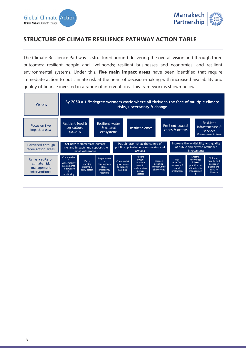

## **STRUCTURE OF CLIMATE RESILIENCE PATHWAY ACTION TABLE**

The Climate Resilience Pathway is structured around delivering the overall vision and through three outcomes: resilient people and livelihoods; resilient businesses and economies; and resilient environmental systems. Under this, **five main impact areas** have been identified that require immediate action to put climate risk at the heart of decision-making with increased availability and quality of finance invested in a range of interventions. This framework is shown below.

| Vision:                                                          | By 2050 a 1.5° degree warmers world where all thrive in the face of multiple climate<br>risks, uncertainty & change                 |                                                                                      |                                                             |                                                                                     |                                                                                          |                                                                 |                                                                            |                                                                              |  |
|------------------------------------------------------------------|-------------------------------------------------------------------------------------------------------------------------------------|--------------------------------------------------------------------------------------|-------------------------------------------------------------|-------------------------------------------------------------------------------------|------------------------------------------------------------------------------------------|-----------------------------------------------------------------|----------------------------------------------------------------------------|------------------------------------------------------------------------------|--|
| Focus on five<br>impact areas:                                   | Resilient food &<br>Resilient water<br>agriculture<br>& natural<br>systems<br>ecosystems                                            |                                                                                      |                                                             | Resilient cities                                                                    |                                                                                          | Resilient coastal<br>zones & oceans                             |                                                                            | Resilient<br>infrastructure &<br>services<br>(Transport, energy, & industry) |  |
| Delivered through<br>three action areas:                         | Act now to immediate climate<br>risks and impacts and support the<br>most vulnerable                                                | Put climate risk at the centre of<br>public - private decision making and<br>actions |                                                             |                                                                                     | Increase the availability and quality<br>of public and private resilience<br>investments |                                                                 |                                                                            |                                                                              |  |
| Using a suite of<br>climate risk<br>management<br>interventions: | Climate risk<br>я<br>Early<br>vulnerability<br>warning<br>assessments<br>systems &<br>disclosure<br>early action<br>Œ<br>monitoring | <b>Preparednes</b><br>$\mathbf{s}$<br>contingency<br>plans/<br>emergency<br>response | <b>Climate risk</b><br>governance<br>& capacity<br>building | <b>Nature</b><br>based<br>solutions<br>used to<br>reduce risks<br>across<br>sectors | Climate<br>proofing<br>infrastructur<br>e& services                                      | <b>Risk</b><br>transfer:<br>Insurance &<br>social<br>protection | Sharing<br>knowledge<br>& best<br>practice on<br>climate risk<br>managemen | Volume,<br>quality and<br>access of<br>public and<br>Private<br>Finance      |  |